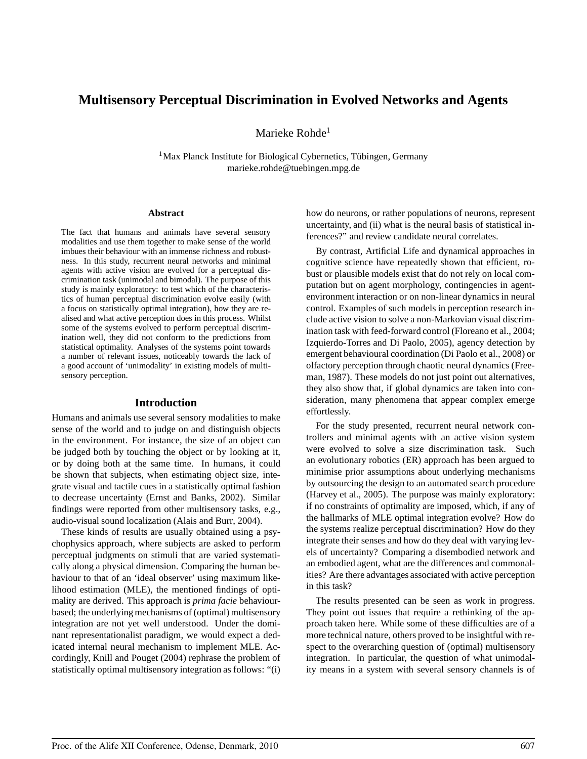# **Multisensory Perceptual Discrimination in Evolved Networks and Agents**

Marieke Rohde<sup>1</sup>

 $1$ Max Planck Institute for Biological Cybernetics, Tübingen, Germany marieke.rohde@tuebingen.mpg.de

#### **Abstract**

The fact that humans and animals have several sensory modalities and use them together to make sense of the world imbues their behaviour with an immense richness and robustness. In this study, recurrent neural networks and minimal agents with active vision are evolved for a perceptual discrimination task (unimodal and bimodal). The purpose of this study is mainly exploratory: to test which of the characteristics of human perceptual discrimination evolve easily (with a focus on statistically optimal integration), how they are realised and what active perception does in this process. Whilst some of the systems evolved to perform perceptual discrimination well, they did not conform to the predictions from statistical optimality. Analyses of the systems point towards a number of relevant issues, noticeably towards the lack of a good account of 'unimodality' in existing models of multisensory perception.

#### **Introduction**

Humans and animals use several sensory modalities to make sense of the world and to judge on and distinguish objects in the environment. For instance, the size of an object can be judged both by touching the object or by looking at it, or by doing both at the same time. In humans, it could be shown that subjects, when estimating object size, integrate visual and tactile cues in a statistically optimal fashion to decrease uncertainty (Ernst and Banks, 2002). Similar findings were reported from other multisensory tasks, e.g., audio-visual sound localization (Alais and Burr, 2004).

These kinds of results are usually obtained using a psychophysics approach, where subjects are asked to perform perceptual judgments on stimuli that are varied systematically along a physical dimension. Comparing the human behaviour to that of an 'ideal observer' using maximum likelihood estimation (MLE), the mentioned findings of optimality are derived. This approach is *prima facie* behaviourbased; the underlying mechanisms of (optimal) multisensory integration are not yet well understood. Under the dominant representationalist paradigm, we would expect a dedicated internal neural mechanism to implement MLE. Accordingly, Knill and Pouget (2004) rephrase the problem of statistically optimal multisensory integration as follows: "(i)

how do neurons, or rather populations of neurons, represent uncertainty, and (ii) what is the neural basis of statistical inferences?" and review candidate neural correlates.

By contrast, Artificial Life and dynamical approaches in cognitive science have repeatedly shown that efficient, robust or plausible models exist that do not rely on local computation but on agent morphology, contingencies in agentenvironment interaction or on non-linear dynamics in neural control. Examples of such models in perception research include active vision to solve a non-Markovian visual discrimination task with feed-forward control (Floreano et al., 2004; Izquierdo-Torres and Di Paolo, 2005), agency detection by emergent behavioural coordination (Di Paolo et al., 2008) or olfactory perception through chaotic neural dynamics (Freeman, 1987). These models do not just point out alternatives, they also show that, if global dynamics are taken into consideration, many phenomena that appear complex emerge effortlessly.

For the study presented, recurrent neural network controllers and minimal agents with an active vision system were evolved to solve a size discrimination task. Such an evolutionary robotics (ER) approach has been argued to minimise prior assumptions about underlying mechanisms by outsourcing the design to an automated search procedure (Harvey et al., 2005). The purpose was mainly exploratory: if no constraints of optimality are imposed, which, if any of the hallmarks of MLE optimal integration evolve? How do the systems realize perceptual discrimination? How do they integrate their senses and how do they deal with varying levels of uncertainty? Comparing a disembodied network and an embodied agent, what are the differences and commonalities? Are there advantages associated with active perception in this task?

The results presented can be seen as work in progress. They point out issues that require a rethinking of the approach taken here. While some of these difficulties are of a more technical nature, others proved to be insightful with respect to the overarching question of (optimal) multisensory integration. In particular, the question of what unimodality means in a system with several sensory channels is of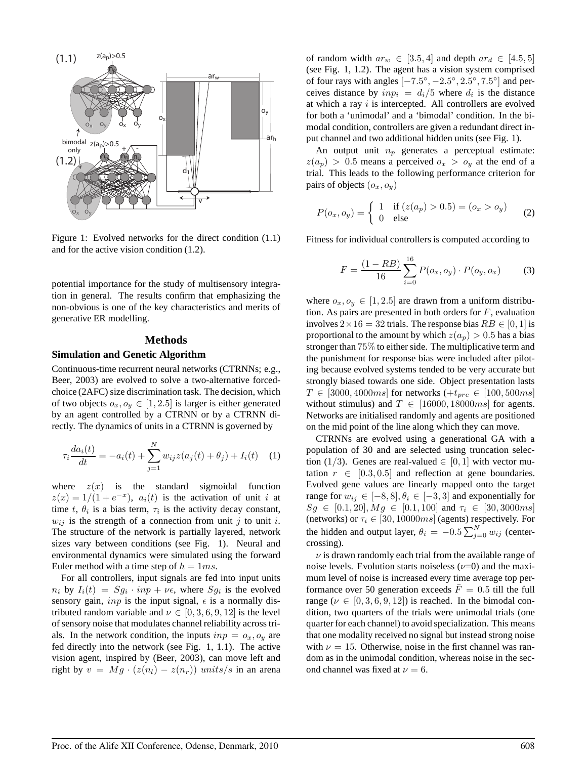

Figure 1: Evolved networks for the direct condition (1.1) and for the active vision condition (1.2).

potential importance for the study of multisensory integration in general. The results confirm that emphasizing the non-obvious is one of the key characteristics and merits of generative ER modelling.

### **Methods**

## **Simulation and Genetic Algorithm**

Continuous-time recurrent neural networks (CTRNNs; e.g., Beer, 2003) are evolved to solve a two-alternative forcedchoice (2AFC) size discrimination task. The decision, which of two objects  $o_x, o_y \in [1, 2.5]$  is larger is either generated by an agent controlled by a CTRNN or by a CTRNN directly. The dynamics of units in a CTRNN is governed by

$$
\tau_i \frac{da_i(t)}{dt} = -a_i(t) + \sum_{j=1}^{N} w_{ij} z(a_j(t) + \theta_j) + I_i(t) \quad (1)
$$

where  $z(x)$  is the standard sigmoidal function  $z(x) = 1/(1 + e^{-x})$ ,  $a_i(t)$  is the activation of unit i at time t,  $\theta_i$  is a bias term,  $\tau_i$  is the activity decay constant,  $w_{ij}$  is the strength of a connection from unit j to unit i. The structure of the network is partially layered, network sizes vary between conditions (see Fig. 1). Neural and environmental dynamics were simulated using the forward Euler method with a time step of  $h = 1ms$ .

For all controllers, input signals are fed into input units  $n_i$  by  $I_i(t) = Sg_i \cdot inp + \nu \epsilon$ , where  $Sg_i$  is the evolved sensory gain, *inp* is the input signal,  $\epsilon$  is a normally distributed random variable and  $\nu \in [0, 3, 6, 9, 12]$  is the level of sensory noise that modulates channel reliability acrosstrials. In the network condition, the inputs  $inp = o_x, o_y$  are fed directly into the network (see Fig. 1, 1.1). The active vision agent, inspired by (Beer, 2003), can move left and right by  $v = Mg \cdot (z(n_l) - z(n_r))$  units/s in an arena of random width  $ar_w \in [3.5, 4]$  and depth  $ar_d \in [4.5, 5]$ (see Fig. 1, 1.2). The agent has a vision system comprised of four rays with angles  $[-7.5^\circ, -2.5^\circ, 2.5^\circ, 7.5^\circ]$  and perceives distance by  $inp_i = d_i/5$  where  $d_i$  is the distance at which a ray  $i$  is intercepted. All controllers are evolved for both a 'unimodal' and a 'bimodal' condition. In the bimodal condition, controllers are given a redundant direct input channel and two additional hidden units (see Fig. 1).

An output unit  $n_p$  generates a perceptual estimate:  $z(a_p) > 0.5$  means a perceived  $o_x > o_y$  at the end of a trial. This leads to the following performance criterion for pairs of objects  $(o_x, o_y)$ 

$$
P(o_x, o_y) = \begin{cases} 1 & \text{if } (z(a_p) > 0.5) = (o_x > o_y) \\ 0 & \text{else} \end{cases}
$$
 (2)

Fitness for individual controllers is computed according to

$$
F = \frac{(1 - RB)}{16} \sum_{i=0}^{16} P(o_x, o_y) \cdot P(o_y, o_x)
$$
 (3)

where  $o_x, o_y \in [1, 2.5]$  are drawn from a uniform distribution. As pairs are presented in both orders for  $F$ , evaluation involves  $2 \times 16 = 32$  trials. The response bias  $RB \in [0, 1]$  is proportional to the amount by which  $z(a_p) > 0.5$  has a bias stronger than 75% to either side. The multiplicative term and the punishment for response bias were included after piloting because evolved systems tended to be very accurate but strongly biased towards one side. Object presentation lasts  $T \in [3000, 4000ms]$  for networks  $(+t_{pre} \in [100, 500ms])$ without stimulus) and  $T \in [16000, 18000ms]$  for agents. Networks are initialised randomly and agents are positioned on the mid point of the line along which they can move.

CTRNNs are evolved using a generational GA with a population of 30 and are selected using truncation selection (1/3). Genes are real-valued  $\in [0,1]$  with vector mutation  $r \in [0.3, 0.5]$  and reflection at gene boundaries. Evolved gene values are linearly mapped onto the target range for  $w_{ij} \in [-8, 8], \theta_i \in [-3, 3]$  and exponentially for  $Sg \in [0.1, 20], Mg \in [0.1, 100]$  and  $\tau_i \in [30, 3000 \text{ms}]$ (networks) or  $\tau_i \in [30, 10000ms]$  (agents) respectively. For the hidden and output layer,  $\theta_i = -0.5 \sum_{j=0}^{N} w_{ij}$  (centercrossing).

 $\nu$  is drawn randomly each trial from the available range of noise levels. Evolution starts noiseless  $(\nu=0)$  and the maximum level of noise is increased every time average top performance over 50 generation exceeds  $\bar{F} = 0.5$  till the full range ( $\nu \in [0, 3, 6, 9, 12]$ ) is reached. In the bimodal condition, two quarters of the trials were unimodal trials (one quarter for each channel) to avoid specialization. This means that one modality received no signal but instead strong noise with  $\nu = 15$ . Otherwise, noise in the first channel was random as in the unimodal condition, whereas noise in the second channel was fixed at  $\nu = 6$ .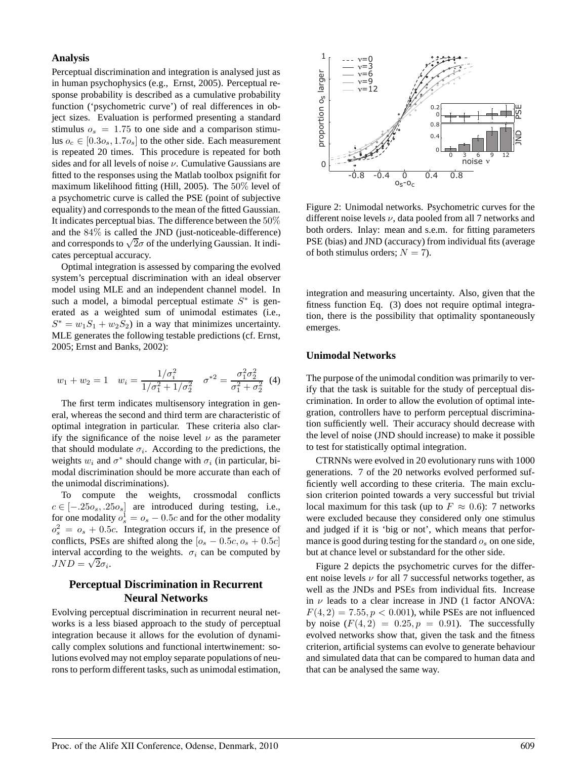### **Analysis**

Perceptual discrimination and integration is analysed just as in human psychophysics (e.g., Ernst, 2005). Perceptual response probability is described as a cumulative probability function ('psychometric curve') of real differences in object sizes. Evaluation is performed presenting a standard stimulus  $o_s = 1.75$  to one side and a comparison stimulus  $o_c \in [0.3o_s, 1.7o_s]$  to the other side. Each measurement is repeated 20 times. This procedure is repeated for both sides and for all levels of noise  $\nu$ . Cumulative Gaussians are fitted to the responses using the Matlab toolbox psignifit for maximum likelihood fitting (Hill, 2005). The 50% level of a psychometric curve is called the PSE (point of subjective equality) and corresponds to the mean of the fitted Gaussian. It indicates perceptual bias. The difference between the 50% and the 84% is called the JND (just-noticeable-difference) and corresponds to  $\sqrt{2}\sigma$  of the underlying Gaussian. It indicates perceptual accuracy.

Optimal integration is assessed by comparing the evolved system's perceptual discrimination with an ideal observer model using MLE and an independent channel model. In such a model, a bimodal perceptual estimate  $S^*$  is generated as a weighted sum of unimodal estimates (i.e.,  $S^* = w_1 S_1 + w_2 S_2$  in a way that minimizes uncertainty. MLE generates the following testable predictions (cf. Ernst, 2005; Ernst and Banks, 2002):

$$
w_1 + w_2 = 1 \quad w_i = \frac{1/\sigma_i^2}{1/\sigma_1^2 + 1/\sigma_2^2} \quad \sigma^{*2} = \frac{\sigma_1^2 \sigma_2^2}{\sigma_1^2 + \sigma_2^2} \tag{4}
$$

The first term indicates multisensory integration in general, whereas the second and third term are characteristic of optimal integration in particular. These criteria also clarify the significance of the noise level  $\nu$  as the parameter that should modulate  $\sigma_i$ . According to the predictions, the weights  $w_i$  and  $\sigma^*$  should change with  $\sigma_i$  (in particular, bimodal discrimination should be more accurate than each of the unimodal discriminations).

To compute the weights, crossmodal conflicts  $c \in [-.25o<sub>s</sub>, .25o<sub>s</sub>]$  are introduced during testing, i.e., for one modality  $o_s^1 = o_s - 0.5c$  and for the other modality  $o_s^2 = o_s + 0.5c$ . Integration occurs if, in the presence of conflicts, PSEs are shifted along the  $[o_s - 0.5c, o_s + 0.5c]$ interval according to the weights.  $\sigma_i$  can be computed by  $JND = \sqrt{2}\sigma_i$ .

# **Perceptual Discrimination in Recurrent Neural Networks**

Evolving perceptual discrimination in recurrent neural networks is a less biased approach to the study of perceptual integration because it allows for the evolution of dynamically complex solutions and functional intertwinement: solutions evolved may not employ separate populations of neurons to perform different tasks, such as unimodal estimation,



Figure 2: Unimodal networks. Psychometric curves for the different noise levels  $\nu$ , data pooled from all 7 networks and both orders. Inlay: mean and s.e.m. for fitting parameters PSE (bias) and JND (accuracy) from individual fits (average of both stimulus orders;  $N = 7$ ).

integration and measuring uncertainty. Also, given that the fitness function Eq. (3) does not require optimal integration, there is the possibility that optimality spontaneously emerges.

#### **Unimodal Networks**

The purpose of the unimodal condition was primarily to verify that the task is suitable for the study of perceptual discrimination. In order to allow the evolution of optimal integration, controllers have to perform perceptual discrimination sufficiently well. Their accuracy should decrease with the level of noise (JND should increase) to make it possible to test for statistically optimal integration.

CTRNNs were evolved in 20 evolutionary runs with 1000 generations. 7 of the 20 networks evolved performed sufficiently well according to these criteria. The main exclusion criterion pointed towards a very successful but trivial local maximum for this task (up to  $F \approx 0.6$ ): 7 networks were excluded because they considered only one stimulus and judged if it is 'big or not', which means that performance is good during testing for the standard  $o_s$  on one side, but at chance level or substandard for the other side.

Figure 2 depicts the psychometric curves for the different noise levels  $\nu$  for all 7 successful networks together, as well as the JNDs and PSEs from individual fits. Increase in  $\nu$  leads to a clear increase in JND (1 factor ANOVA:  $F(4, 2) = 7.55, p < 0.001$ , while PSEs are not influenced by noise  $(F(4, 2) = 0.25, p = 0.91)$ . The successfully evolved networks show that, given the task and the fitness criterion, artificial systems can evolve to generate behaviour and simulated data that can be compared to human data and that can be analysed the same way.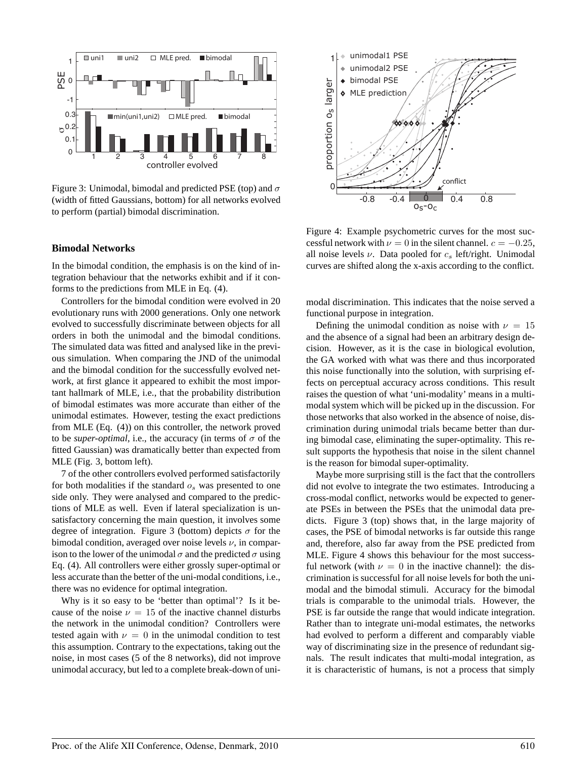

Figure 3: Unimodal, bimodal and predicted PSE (top) and  $\sigma$ (width of fitted Gaussians, bottom) for all networks evolved to perform (partial) bimodal discrimination.

## **Bimodal Networks**

In the bimodal condition, the emphasis is on the kind of integration behaviour that the networks exhibit and if it conforms to the predictions from MLE in Eq. (4).

Controllers for the bimodal condition were evolved in 20 evolutionary runs with 2000 generations. Only one network evolved to successfully discriminate between objects for all orders in both the unimodal and the bimodal conditions. The simulated data was fitted and analysed like in the previous simulation. When comparing the JND of the unimodal and the bimodal condition for the successfully evolved network, at first glance it appeared to exhibit the most important hallmark of MLE, i.e., that the probability distribution of bimodal estimates was more accurate than either of the unimodal estimates. However, testing the exact predictions from MLE (Eq. (4)) on this controller, the network proved to be *super-optimal*, i.e., the accuracy (in terms of  $\sigma$  of the fitted Gaussian) was dramatically better than expected from MLE (Fig. 3, bottom left).

7 of the other controllers evolved performed satisfactorily for both modalities if the standard  $o_s$  was presented to one side only. They were analysed and compared to the predictions of MLE as well. Even if lateral specialization is unsatisfactory concerning the main question, it involves some degree of integration. Figure 3 (bottom) depicts  $\sigma$  for the bimodal condition, averaged over noise levels  $\nu$ , in comparison to the lower of the unimodal  $\sigma$  and the predicted  $\sigma$  using Eq. (4). All controllers were either grossly super-optimal or less accurate than the better of the uni-modal conditions, i.e., there was no evidence for optimal integration.

Why is it so easy to be 'better than optimal'? Is it because of the noise  $\nu = 15$  of the inactive channel disturbs the network in the unimodal condition? Controllers were tested again with  $\nu = 0$  in the unimodal condition to test this assumption. Contrary to the expectations, taking out the noise, in most cases (5 of the 8 networks), did not improve unimodal accuracy, but led to a complete break-down of uni-



Figure 4: Example psychometric curves for the most successful network with  $\nu = 0$  in the silent channel.  $c = -0.25$ , all noise levels  $\nu$ . Data pooled for  $c_s$  left/right. Unimodal curves are shifted along the x-axis according to the conflict.

modal discrimination. This indicates that the noise served a functional purpose in integration.

Defining the unimodal condition as noise with  $\nu = 15$ and the absence of a signal had been an arbitrary design decision. However, as it is the case in biological evolution, the GA worked with what was there and thus incorporated this noise functionally into the solution, with surprising effects on perceptual accuracy across conditions. This result raises the question of what 'uni-modality' means in a multimodal system which will be picked up in the discussion. For those networks that also worked in the absence of noise, discrimination during unimodal trials became better than during bimodal case, eliminating the super-optimality. This result supports the hypothesis that noise in the silent channel is the reason for bimodal super-optimality.

Maybe more surprising still is the fact that the controllers did not evolve to integrate the two estimates. Introducing a cross-modal conflict, networks would be expected to generate PSEs in between the PSEs that the unimodal data predicts. Figure 3 (top) shows that, in the large majority of cases, the PSE of bimodal networks is far outside this range and, therefore, also far away from the PSE predicted from MLE. Figure 4 shows this behaviour for the most successful network (with  $\nu = 0$  in the inactive channel): the discrimination is successful for all noise levels for both the unimodal and the bimodal stimuli. Accuracy for the bimodal trials is comparable to the unimodal trials. However, the PSE is far outside the range that would indicate integration. Rather than to integrate uni-modal estimates, the networks had evolved to perform a different and comparably viable way of discriminating size in the presence of redundant signals. The result indicates that multi-modal integration, as it is characteristic of humans, is not a process that simply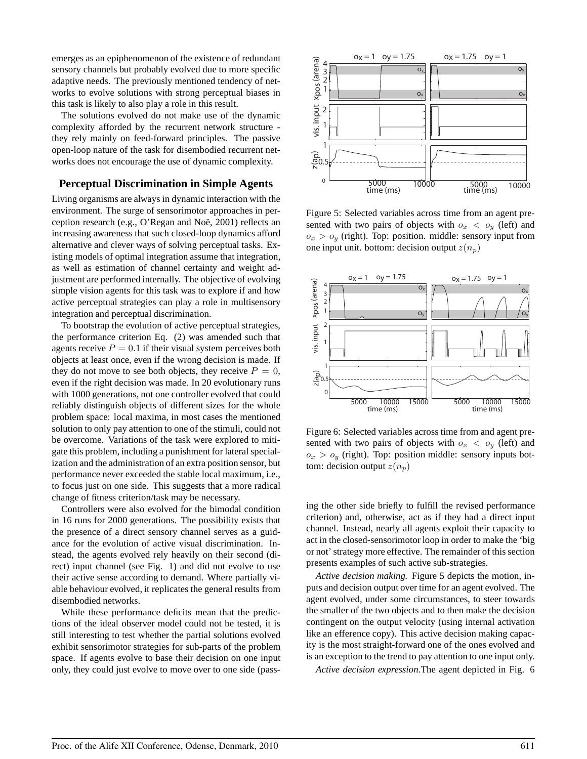emerges as an epiphenomenon of the existence of redundant sensory channels but probably evolved due to more specific adaptive needs. The previously mentioned tendency of networks to evolve solutions with strong perceptual biases in this task is likely to also play a role in this result.

The solutions evolved do not make use of the dynamic complexity afforded by the recurrent network structure they rely mainly on feed-forward principles. The passive open-loop nature of the task for disembodied recurrent networks does not encourage the use of dynamic complexity.

## **Perceptual Discrimination in Simple Agents**

Living organisms are always in dynamic interaction with the environment. The surge of sensorimotor approaches in perception research (e.g., O'Regan and Noë, 2001) reflects an increasing awareness that such closed-loop dynamics afford alternative and clever ways of solving perceptual tasks. Existing models of optimal integration assume that integration, as well as estimation of channel certainty and weight adjustment are performed internally. The objective of evolving simple vision agents for this task was to explore if and how active perceptual strategies can play a role in multisensory integration and perceptual discrimination.

To bootstrap the evolution of active perceptual strategies, the performance criterion Eq. (2) was amended such that agents receive  $P = 0.1$  if their visual system perceives both objects at least once, even if the wrong decision is made. If they do not move to see both objects, they receive  $P = 0$ , even if the right decision was made. In 20 evolutionary runs with 1000 generations, not one controller evolved that could reliably distinguish objects of different sizes for the whole problem space: local maxima, in most cases the mentioned solution to only pay attention to one of the stimuli, could not be overcome. Variations of the task were explored to mitigate this problem, including a punishment for lateral specialization and the administration of an extra position sensor, but performance never exceeded the stable local maximum, i.e., to focus just on one side. This suggests that a more radical change of fitness criterion/task may be necessary.

Controllers were also evolved for the bimodal condition in 16 runs for 2000 generations. The possibility exists that the presence of a direct sensory channel serves as a guidance for the evolution of active visual discrimination. Instead, the agents evolved rely heavily on their second (direct) input channel (see Fig. 1) and did not evolve to use their active sense according to demand. Where partially viable behaviour evolved, it replicates the general results from disembodied networks.

While these performance deficits mean that the predictions of the ideal observer model could not be tested, it is still interesting to test whether the partial solutions evolved exhibit sensorimotor strategies for sub-parts of the problem space. If agents evolve to base their decision on one input only, they could just evolve to move over to one side (pass-



Figure 5: Selected variables across time from an agent presented with two pairs of objects with  $o_x < o_y$  (left) and  $o_x > o_y$  (right). Top: position. middle: sensory input from one input unit. bottom: decision output  $z(n_p)$ 



Figure 6: Selected variables across time from and agent presented with two pairs of objects with  $o_x < o_y$  (left) and  $o_x > o_y$  (right). Top: position middle: sensory inputs bottom: decision output  $z(n_p)$ 

ing the other side briefly to fulfill the revised performance criterion) and, otherwise, act as if they had a direct input channel. Instead, nearly all agents exploit their capacity to act in the closed-sensorimotor loop in order to make the 'big or not' strategy more effective. The remainder of this section presents examples of such active sub-strategies.

*Active decision making.* Figure 5 depicts the motion, inputs and decision output over time for an agent evolved. The agent evolved, under some circumstances, to steer towards the smaller of the two objects and to then make the decision contingent on the output velocity (using internal activation like an efference copy). This active decision making capacity is the most straight-forward one of the ones evolved and is an exception to the trend to pay attention to one input only.

*Active decision expression.*The agent depicted in Fig. 6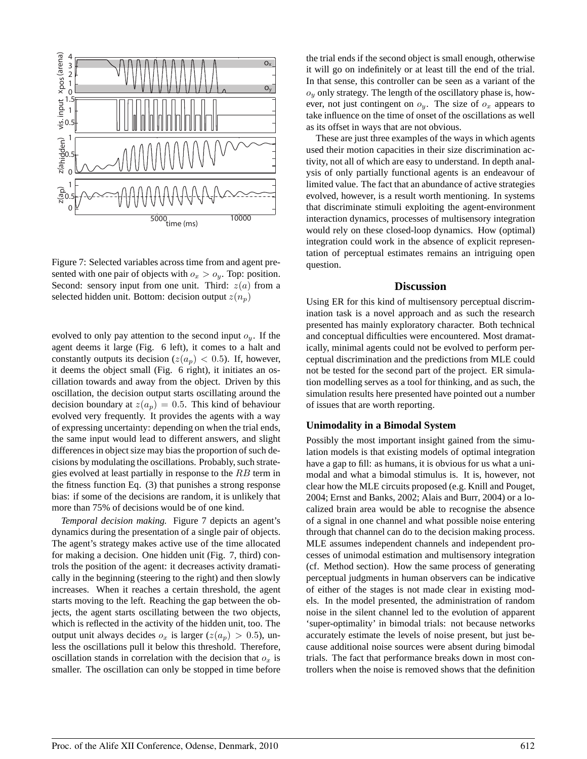

Figure 7: Selected variables across time from and agent presented with one pair of objects with  $o_x > o_y$ . Top: position. Second: sensory input from one unit. Third:  $z(a)$  from a selected hidden unit. Bottom: decision output  $z(n_p)$ 

evolved to only pay attention to the second input  $o_y$ . If the agent deems it large (Fig. 6 left), it comes to a halt and constantly outputs its decision ( $z(a_p) < 0.5$ ). If, however, it deems the object small (Fig. 6 right), it initiates an oscillation towards and away from the object. Driven by this oscillation, the decision output starts oscillating around the decision boundary at  $z(a_p) = 0.5$ . This kind of behaviour evolved very frequently. It provides the agents with a way of expressing uncertainty: depending on when the trial ends, the same input would lead to different answers, and slight differences in object size may bias the proportion of such decisions by modulating the oscillations. Probably, such strategies evolved at least partially in response to the  $RB$  term in the fitness function Eq. (3) that punishes a strong response bias: if some of the decisions are random, it is unlikely that more than 75% of decisions would be of one kind.

*Temporal decision making.* Figure 7 depicts an agent's dynamics during the presentation of a single pair of objects. The agent's strategy makes active use of the time allocated for making a decision. One hidden unit (Fig. 7, third) controls the position of the agent: it decreases activity dramatically in the beginning (steering to the right) and then slowly increases. When it reaches a certain threshold, the agent starts moving to the left. Reaching the gap between the objects, the agent starts oscillating between the two objects, which is reflected in the activity of the hidden unit, too. The output unit always decides  $o_x$  is larger  $(z(a_p) > 0.5)$ , unless the oscillations pull it below this threshold. Therefore, oscillation stands in correlation with the decision that  $o_x$  is smaller. The oscillation can only be stopped in time before

the trial ends if the second object is small enough, otherwise it will go on indefinitely or at least till the end of the trial. In that sense, this controller can be seen as a variant of the  $o_y$  only strategy. The length of the oscillatory phase is, however, not just contingent on  $o_y$ . The size of  $o_x$  appears to take influence on the time of onset of the oscillations as well as its offset in ways that are not obvious.

These are just three examples of the ways in which agents used their motion capacities in their size discrimination activity, not all of which are easy to understand. In depth analysis of only partially functional agents is an endeavour of limited value. The fact that an abundance of active strategies evolved, however, is a result worth mentioning. In systems that discriminate stimuli exploiting the agent-environment interaction dynamics, processes of multisensory integration would rely on these closed-loop dynamics. How (optimal) integration could work in the absence of explicit representation of perceptual estimates remains an intriguing open question.

#### **Discussion**

Using ER for this kind of multisensory perceptual discrimination task is a novel approach and as such the research presented has mainly exploratory character. Both technical and conceptual difficulties were encountered. Most dramatically, minimal agents could not be evolved to perform perceptual discrimination and the predictions from MLE could not be tested for the second part of the project. ER simulation modelling serves as a tool for thinking, and as such, the simulation results here presented have pointed out a number of issues that are worth reporting.

#### **Unimodality in a Bimodal System**

Possibly the most important insight gained from the simulation models is that existing models of optimal integration have a gap to fill: as humans, it is obvious for us what a unimodal and what a bimodal stimulus is. It is, however, not clear how the MLE circuits proposed (e.g. Knill and Pouget, 2004; Ernst and Banks, 2002; Alais and Burr, 2004) or a localized brain area would be able to recognise the absence of a signal in one channel and what possible noise entering through that channel can do to the decision making process. MLE assumes independent channels and independent processes of unimodal estimation and multisensory integration (cf. Method section). How the same process of generating perceptual judgments in human observers can be indicative of either of the stages is not made clear in existing models. In the model presented, the administration of random noise in the silent channel led to the evolution of apparent 'super-optimality' in bimodal trials: not because networks accurately estimate the levels of noise present, but just because additional noise sources were absent during bimodal trials. The fact that performance breaks down in most controllers when the noise is removed shows that the definition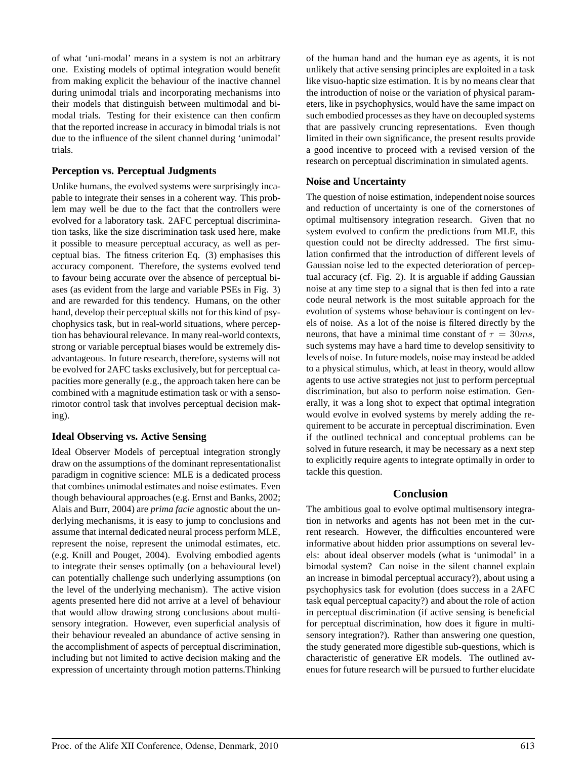of what 'uni-modal' means in a system is not an arbitrary one. Existing models of optimal integration would benefit from making explicit the behaviour of the inactive channel during unimodal trials and incorporating mechanisms into their models that distinguish between multimodal and bimodal trials. Testing for their existence can then confirm that the reported increase in accuracy in bimodal trials is not due to the influence of the silent channel during 'unimodal' trials.

## **Perception vs. Perceptual Judgments**

Unlike humans, the evolved systems were surprisingly incapable to integrate their senses in a coherent way. This problem may well be due to the fact that the controllers were evolved for a laboratory task. 2AFC perceptual discrimination tasks, like the size discrimination task used here, make it possible to measure perceptual accuracy, as well as perceptual bias. The fitness criterion Eq. (3) emphasises this accuracy component. Therefore, the systems evolved tend to favour being accurate over the absence of perceptual biases (as evident from the large and variable PSEs in Fig. 3) and are rewarded for this tendency. Humans, on the other hand, develop their perceptual skills not for this kind of psychophysics task, but in real-world situations, where perception has behavioural relevance. In many real-world contexts, strong or variable perceptual biases would be extremely disadvantageous. In future research, therefore, systems will not be evolved for 2AFC tasks exclusively, but for perceptual capacities more generally (e.g., the approach taken here can be combined with a magnitude estimation task or with a sensorimotor control task that involves perceptual decision making).

## **Ideal Observing vs. Active Sensing**

Ideal Observer Models of perceptual integration strongly draw on the assumptions of the dominant representationalist paradigm in cognitive science: MLE is a dedicated process that combines unimodal estimates and noise estimates. Even though behavioural approaches (e.g. Ernst and Banks, 2002; Alais and Burr, 2004) are *prima facie* agnostic about the underlying mechanisms, it is easy to jump to conclusions and assume that internal dedicated neural process perform MLE, represent the noise, represent the unimodal estimates, etc. (e.g. Knill and Pouget, 2004). Evolving embodied agents to integrate their senses optimally (on a behavioural level) can potentially challenge such underlying assumptions (on the level of the underlying mechanism). The active vision agents presented here did not arrive at a level of behaviour that would allow drawing strong conclusions about multisensory integration. However, even superficial analysis of their behaviour revealed an abundance of active sensing in the accomplishment of aspects of perceptual discrimination, including but not limited to active decision making and the expression of uncertainty through motion patterns.Thinking

of the human hand and the human eye as agents, it is not unlikely that active sensing principles are exploited in a task like visuo-haptic size estimation. It is by no means clear that the introduction of noise or the variation of physical parameters, like in psychophysics, would have the same impact on such embodied processes as they have on decoupled systems that are passively cruncing representations. Even though limited in their own significance, the present results provide a good incentive to proceed with a revised version of the research on perceptual discrimination in simulated agents.

## **Noise and Uncertainty**

The question of noise estimation, independent noise sources and reduction of uncertainty is one of the cornerstones of optimal multisensory integration research. Given that no system evolved to confirm the predictions from MLE, this question could not be direclty addressed. The first simulation confirmed that the introduction of different levels of Gaussian noise led to the expected deterioration of perceptual accuracy (cf. Fig. 2). It is arguable if adding Gaussian noise at any time step to a signal that is then fed into a rate code neural network is the most suitable approach for the evolution of systems whose behaviour is contingent on levels of noise. As a lot of the noise is filtered directly by the neurons, that have a minimal time constant of  $\tau = 30$ ms, such systems may have a hard time to develop sensitivity to levels of noise. In future models, noise may instead be added to a physical stimulus, which, at least in theory, would allow agents to use active strategies not just to perform perceptual discrimination, but also to perform noise estimation. Generally, it was a long shot to expect that optimal integration would evolve in evolved systems by merely adding the requirement to be accurate in perceptual discrimination. Even if the outlined technical and conceptual problems can be solved in future research, it may be necessary as a next step to explicitly require agents to integrate optimally in order to tackle this question.

#### **Conclusion**

The ambitious goal to evolve optimal multisensory integration in networks and agents has not been met in the current research. However, the difficulties encountered were informative about hidden prior assumptions on several levels: about ideal observer models (what is 'unimodal' in a bimodal system? Can noise in the silent channel explain an increase in bimodal perceptual accuracy?), about using a psychophysics task for evolution (does success in a 2AFC task equal perceptual capacity?) and about the role of action in perceptual discrimination (if active sensing is beneficial for perceptual discrimination, how does it figure in multisensory integration?). Rather than answering one question, the study generated more digestible sub-questions, which is characteristic of generative ER models. The outlined avenues for future research will be pursued to further elucidate